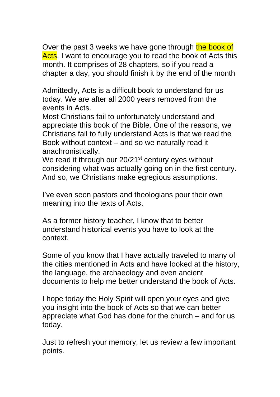Over the past 3 weeks we have gone through the book of Acts. I want to encourage you to read the book of Acts this month. It comprises of 28 chapters, so if you read a chapter a day, you should finish it by the end of the month

Admittedly, Acts is a difficult book to understand for us today. We are after all 2000 years removed from the events in Acts.

Most Christians fail to unfortunately understand and appreciate this book of the Bible. One of the reasons, we Christians fail to fully understand Acts is that we read the Book without context – and so we naturally read it anachronistically.

We read it through our 20/21<sup>st</sup> century eyes without considering what was actually going on in the first century. And so, we Christians make egregious assumptions.

I've even seen pastors and theologians pour their own meaning into the texts of Acts.

As a former history teacher, I know that to better understand historical events you have to look at the context.

Some of you know that I have actually traveled to many of the cities mentioned in Acts and have looked at the history, the language, the archaeology and even ancient documents to help me better understand the book of Acts.

I hope today the Holy Spirit will open your eyes and give you insight into the book of Acts so that we can better appreciate what God has done for the church – and for us today.

Just to refresh your memory, let us review a few important points.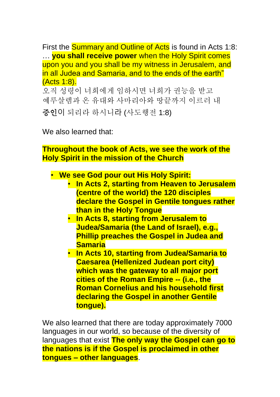First the **Summary and Outline of Acts** is found in Acts 1:8: … **you shall receive power** when the Holy Spirit comes upon you and you shall be my witness in Jerusalem, and in all Judea and Samaria, and to the ends of the earth" (Acts 1:8). 오직 성령이 너희에게 임하시면 너희가 권능을 받고

예루살렘과 온 유대와 사마리아와 땅끝까지 이르러 내

증인이 되리라 하시니라 (사도행전 1:8)

We also learned that:

**Throughout the book of Acts, we see the work of the Holy Spirit in the mission of the Church**

• **We see God pour out His Holy Spirit:** 

- **In Acts 2, starting from Heaven to Jerusalem (centre of the world) the 120 disciples declare the Gospel in Gentile tongues rather than in the Holy Tongue**
- **In Acts 8, starting from Jerusalem to Judea/Samaria (the Land of Israel), e.g., Phillip preaches the Gospel in Judea and Samaria**
- **In Acts 10, starting from Judea/Samaria to Caesarea (Hellenized Judean port city) which was the gateway to all major port cities of the Roman Empire -- (i.e., the Roman Cornelius and his household first declaring the Gospel in another Gentile tongue).**

We also learned that there are today approximately 7000 languages in our world, so because of the diversity of languages that exist **The only way the Gospel can go to the nations is if the Gospel is proclaimed in other tongues – other languages**.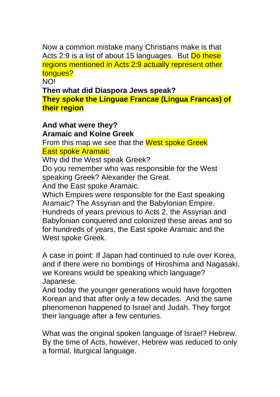Now a common mistake many Christians make is that Acts 2:9 is a list of about 15 languages. But Do these regions mentioned in Acts 2:9 actually represent other tongues?

NO!

**Then what did Diaspora Jews speak?** 

**They spoke the Linguae Francae (Lingua Francas) of their region**

## **And what were they?**

## **Aramaic and Koine Greek**

From this map we see that the West spoke Greek East spoke Aramaic

Why did the West speak Greek?

Do you remember who was responsible for the West speaking Greek? Alexander the Great.

And the East spoke Aramaic.

Which Empires were responsible for the East speaking Aramaic? The Assyrian and the Babylonian Empire. Hundreds of years previous to Acts 2, the Assyrian and Babylonian conquered and colonized these areas and so for hundreds of years, the East spoke Aramaic and the West spoke Greek.

A case in point: If Japan had continued to rule over Korea, and if there were no bombings of Hiroshima and Nagasaki, we Koreans would be speaking which language? Japanese.

And today the younger generations would have forgotten Korean and that after only a few decades. And the same phenomenon happened to Israel and Judah. They forgot their language after a few centuries.

What was the original spoken language of Israel? Hebrew. By the time of Acts, however, Hebrew was reduced to only a formal, liturgical language.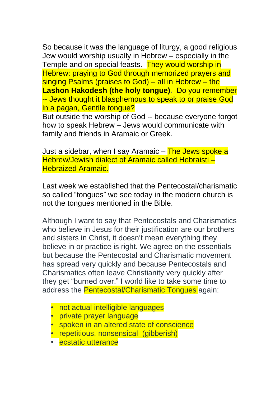So because it was the language of liturgy, a good religious Jew would worship usually in Hebrew – especially in the Temple and on special feasts. They would worship in Hebrew: praying to God through memorized prayers and singing Psalms (praises to God) – all in Hebrew – the **Lashon Hakodesh (the holy tongue).** Do you remember -- Jews thought it blasphemous to speak to or praise God in a pagan, Gentile tongue?

But outside the worship of God -- because everyone forgot how to speak Hebrew – Jews would communicate with family and friends in Aramaic or Greek.

Just a sidebar, when I say Aramaic – The Jews spoke a Hebrew/Jewish dialect of Aramaic called Hebraisti – Hebraized Aramaic.

Last week we established that the Pentecostal/charismatic so called "tongues" we see today in the modern church is not the tongues mentioned in the Bible.

Although I want to say that Pentecostals and Charismatics who believe in Jesus for their justification are our brothers and sisters in Christ, it doesn't mean everything they believe in or practice is right. We agree on the essentials but because the Pentecostal and Charismatic movement has spread very quickly and because Pentecostals and Charismatics often leave Christianity very quickly after they get "burned over." I world like to take some time to address the Pentecostal/Charismatic Tongues again:

- not actual intelligible languages
- private prayer language
- spoken in an altered state of conscience
- repetitious, nonsensical (gibberish)
- ecstatic utterance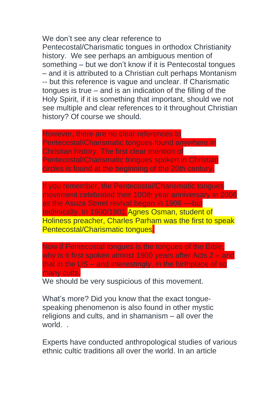We don't see any clear reference to Pentecostal/Charismatic tongues in orthodox Christianity history. We see perhaps an ambiguous mention of something – but we don't know if it is Pentecostal tongues – and it is attributed to a Christian cult perhaps Montanism -- but this reference is vague and unclear. If Charismatic tongues is true – and is an indication of the filling of the Holy Spirit, if it is something that important, should we not see multiple and clear references to it throughout Christian history? Of course we should.

However, there are no clear references to Pentecostal/Charismatic tongues found anywhere in Christian history. The first clear mention of Pentecostal/Charismatic tongues spoken in Christian circles is found at the beginning of the 20th century.

If you remember, the Pentecostal/Charismatic tongues movement celebrated their 100th year anniversary in 2006 as the Asuza Street revival began in 1906 ––but technically. In 1900/1901 Agnes Osman, student of Holiness preacher, Charles Parham was the first to speak Pentecostal/Charismatic tongues.

Now if Pentecostal tongues is the tongues of the Bible, why is it first spoken almost 1900 years after Acts 2 – and that in the US – and interestingly, in the birthplace of so many cults.

We should be very suspicious of this movement.

What's more? Did you know that the exact tonguespeaking phenomenon is also found in other mystic religions and cults, and in shamanism – all over the world. .

Experts have conducted anthropological studies of various ethnic cultic traditions all over the world. In an article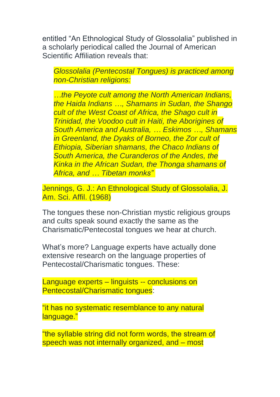entitled "An Ethnological Study of Glossolalia" published in a scholarly periodical called the Journal of American Scientific Affiliation reveals that:

*Glossolalia (Pentecostal Tongues) is practiced among non-Christian religions:*

*…the Peyote cult among the North American Indians, the Haida Indians …, Shamans in Sudan, the Shango cult of the West Coast of Africa, the Shago cult in Trinidad, the Voodoo cult in Haiti, the Aborigines of South America and Australia, … Eskimos …, Shamans in Greenland, the Dyaks of Borneo, the Zor cult of Ethiopia, Siberian shamans, the Chaco Indians of South America, the Curanderos of the Andes, the Kinka in the African Sudan, the Thonga shamans of Africa, and … Tibetan monks"*

Jennings, G. J.: An Ethnological Study of Glossolalia, J. Am. Sci. Affil. (1968)

The tongues these non-Christian mystic religious groups and cults speak sound exactly the same as the Charismatic/Pentecostal tongues we hear at church.

What's more? Language experts have actually done extensive research on the language properties of Pentecostal/Charismatic tongues. These:

Language experts – linguists -- conclusions on Pentecostal/Charismatic tongues:

"it has no systematic resemblance to any natural language."

"the syllable string did not form words, the stream of speech was not internally organized, and – most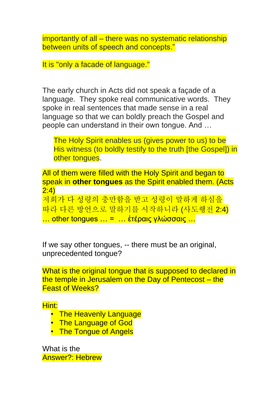importantly of all – there was no systematic relationship between units of speech and concepts."

It is "only a facade of language."

The early church in Acts did not speak a façade of a language. They spoke real communicative words. They spoke in real sentences that made sense in a real language so that we can boldly preach the Gospel and people can understand in their own tongue. And …

The Holy Spirit enables us (gives power to us) to be His witness (to boldly testify to the truth [the Gospel]) in other tongues.

All of them were filled with the Holy Spirit and began to speak in **other tongues** as the Spirit enabled them. (Acts 2:4)

저희가 다 성령의 충만함을 받고 성령이 말하게 하심을 따라 다른 방언으로 말하기를 시작하니라 (사도행전 2:4) … other tongues … = … ἑτέραις γλώσσαις …

If we say other tongues, -- there must be an original, unprecedented tongue?

What is the original tongue that is supposed to declared in the temple in Jerusalem on the Day of Pentecost - the Feast of Weeks?

Hint:

- The Heavenly Language
- The Language of God
- The Tongue of Angels

What is the Answer?: Hebrew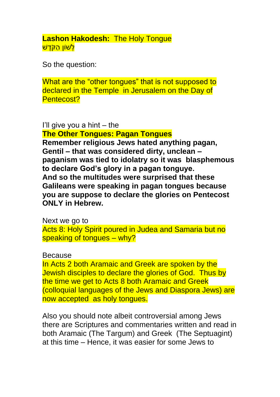**Lashon Hakodesh:** The Holy Tongue <mark>לְשׁוֹן הַקֹּדֲש</mark>ׁ

So the question:

What are the "other tongues" that is not supposed to declared in the Temple in Jerusalem on the Day of Pentecost?

I'll give you a hint  $-$  the

**The Other Tongues: Pagan Tongues**

**Remember religious Jews hated anything pagan, Gentil – that was considered dirty, unclean – paganism was tied to idolatry so it was blasphemous to declare God's glory in a pagan tonguye. And so the multitudes were surprised that these Galileans were speaking in pagan tongues because you are suppose to declare the glories on Pentecost ONLY in Hebrew.** 

Next we go to Acts 8: Holy Spirit poured in Judea and Samaria but no speaking of tongues – why?

Because

In Acts 2 both Aramaic and Greek are spoken by the Jewish disciples to declare the glories of God. Thus by the time we get to Acts 8 both Aramaic and Greek (colloquial languages of the Jews and Diaspora Jews) are now accepted as holy tongues.

Also you should note albeit controversial among Jews there are Scriptures and commentaries written and read in both Aramaic (The Targum) and Greek (The Septuagint) at this time – Hence, it was easier for some Jews to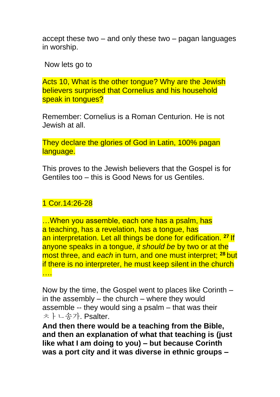accept these two – and only these two – pagan languages in worship.

Now lets go to

Acts 10, What is the other tongue? Why are the Jewish believers surprised that Cornelius and his household speak in tongues?

Remember: Cornelius is a Roman Centurion. He is not Jewish at all.

They declare the glories of God in Latin, 100% pagan language.

This proves to the Jewish believers that the Gospel is for Gentiles too – this is Good News for us Gentiles.

## 1 Cor.14:26-28

…When you assemble, each one has a psalm, has a teaching, has a revelation, has a tongue, has an interpretation. Let all things be done for edification. **<sup>27</sup>** If anyone speaks in a tongue, *it should be* by two or at the most three, and *each* in turn, and one must interpret; **<sup>28</sup>** but if there is no interpreter, he must keep silent in the church <mark>……</mark>

Now by the time, the Gospel went to places like Corinth – in the assembly – the church – where they would assemble -- they would sing a psalm – that was their ㅊㅏㄴ송가. Psalter.

**And then there would be a teaching from the Bible, and then an explanation of what that teaching is (just like what I am doing to you) – but because Corinth was a port city and it was diverse in ethnic groups –**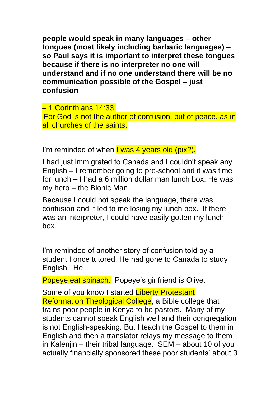**people would speak in many languages – other tongues (most likely including barbaric languages) – so Paul says it is important to interpret these tongues because if there is no interpreter no one will understand and if no one understand there will be no communication possible of the Gospel – just confusion** 

**–** 1 Corinthians 14:33 For God is not the author of confusion, but of peace, as in all churches of the saints.

I'm reminded of when I was 4 years old (pix?).

I had just immigrated to Canada and I couldn't speak any English – I remember going to pre-school and it was time for lunch – I had a 6 million dollar man lunch box. He was my hero – the Bionic Man.

Because I could not speak the language, there was confusion and it led to me losing my lunch box. If there was an interpreter, I could have easily gotten my lunch box.

I'm reminded of another story of confusion told by a student I once tutored. He had gone to Canada to study English. He

Popeye eat spinach. Popeye's girlfriend is Olive.

Some of you know I started Liberty Protestant Reformation Theological College, a Bible college that trains poor people in Kenya to be pastors. Many of my students cannot speak English well and their congregation is not English-speaking. But I teach the Gospel to them in English and then a translator relays my message to them in Kalenjin – their tribal language. SEM – about 10 of you actually financially sponsored these poor students' about 3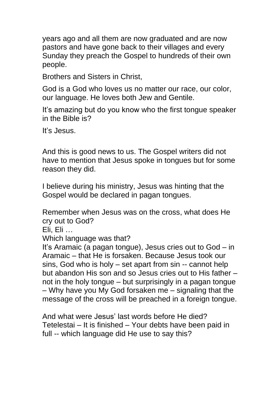years ago and all them are now graduated and are now pastors and have gone back to their villages and every Sunday they preach the Gospel to hundreds of their own people.

Brothers and Sisters in Christ,

God is a God who loves us no matter our race, our color, our language. He loves both Jew and Gentile.

It's amazing but do you know who the first tongue speaker in the Bible is?

It's Jesus.

And this is good news to us. The Gospel writers did not have to mention that Jesus spoke in tongues but for some reason they did.

I believe during his ministry, Jesus was hinting that the Gospel would be declared in pagan tongues.

Remember when Jesus was on the cross, what does He cry out to God?

Eli, Eli …

Which language was that?

It's Aramaic (a pagan tongue), Jesus cries out to God – in Aramaic – that He is forsaken. Because Jesus took our sins, God who is holy – set apart from sin -- cannot help but abandon His son and so Jesus cries out to His father – not in the holy tongue – but surprisingly in a pagan tongue – Why have you My God forsaken me – signaling that the message of the cross will be preached in a foreign tongue.

And what were Jesus' last words before He died? Tetelestai – It is finished – Your debts have been paid in full -- which language did He use to say this?